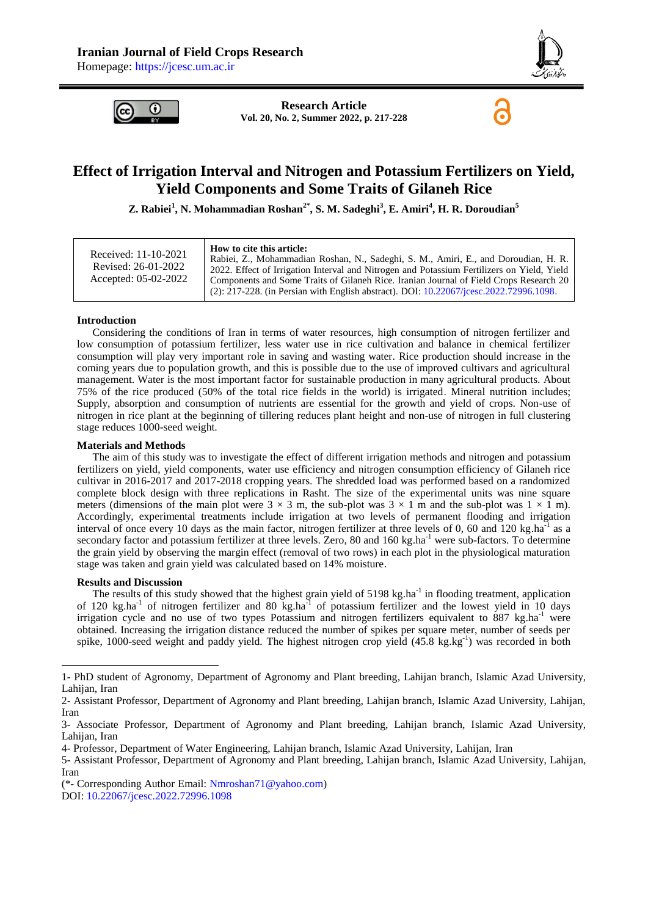

6



**Research Article Vol. 20, No. 2, Summer 2022, p. 217-228**

# **Effect of Irrigation Interval and Nitrogen and Potassium Fertilizers on Yield, Yield Components and Some Traits of Gilaneh Rice**

**Z. Rabiei<sup>1</sup> , N. Mohammadian Roshan2\* , S. M. Sadeghi<sup>3</sup> , E. Amiri<sup>4</sup> , H. R. Doroudian<sup>5</sup>**

### **Introduction**

Considering the conditions of Iran in terms of water resources, high consumption of nitrogen fertilizer and low consumption of potassium fertilizer, less water use in rice cultivation and balance in chemical fertilizer consumption will play very important role in saving and wasting water. Rice production should increase in the coming years due to population growth, and this is possible due to the use of improved cultivars and agricultural management. Water is the most important factor for sustainable production in many agricultural products. About 75% of the rice produced (50% of the total rice fields in the world) is irrigated. Mineral nutrition includes; Supply, absorption and consumption of nutrients are essential for the growth and yield of crops. Non-use of nitrogen in rice plant at the beginning of tillering reduces plant height and non-use of nitrogen in full clustering stage reduces 1000-seed weight.

#### **Materials and Methods**

The aim of this study was to investigate the effect of different irrigation methods and nitrogen and potassium fertilizers on yield, yield components, water use efficiency and nitrogen consumption efficiency of Gilaneh rice cultivar in 2016-2017 and 2017-2018 cropping years. The shredded load was performed based on a randomized complete block design with three replications in Rasht. The size of the experimental units was nine square meters (dimensions of the main plot were  $3 \times 3$  m, the sub-plot was  $3 \times 1$  m and the sub-plot was  $1 \times 1$  m). Accordingly, experimental treatments include irrigation at two levels of permanent flooding and irrigation interval of once every 10 days as the main factor, nitrogen fertilizer at three levels of 0, 60 and 120 kg.ha<sup>-1</sup> as a secondary factor and potassium fertilizer at three levels. Zero, 80 and 160 kg.ha<sup>-1</sup> were sub-factors. To determine the grain yield by observing the margin effect (removal of two rows) in each plot in the physiological maturation stage was taken and grain yield was calculated based on 14% moisture.

#### **Results and Discussion**

-

The results of this study showed that the highest grain yield of  $5198 \text{ kg.ha}^{-1}$  in flooding treatment, application of 120 kg.ha<sup>-1</sup> of nitrogen fertilizer and 80 kg.ha<sup>-1</sup> of potassium fertilizer and the lowest yield in 10 days irrigation cycle and no use of two types Potassium and nitrogen fertilizers equivalent to 887 kg.ha<sup>-1</sup> were obtained. Increasing the irrigation distance reduced the number of spikes per square meter, number of seeds per spike, 1000-seed weight and paddy yield. The highest nitrogen crop yield (45.8 kg.kg<sup>-1</sup>) was recorded in both

<sup>1-</sup> PhD student of Agronomy, Department of Agronomy and Plant breeding, Lahijan branch, Islamic Azad University, Lahijan, Iran

<sup>2-</sup> Assistant Professor, Department of Agronomy and Plant breeding, Lahijan branch, Islamic Azad University, Lahijan, Iran

<sup>3-</sup> Associate Professor, Department of Agronomy and Plant breeding, Lahijan branch, Islamic Azad University, Lahijan, Iran

<sup>4-</sup> Professor, Department of Water Engineering, Lahijan branch, Islamic Azad University, Lahijan, Iran

<sup>5-</sup> Assistant Professor, Department of Agronomy and Plant breeding, Lahijan branch, Islamic Azad University, Lahijan, Iran

<sup>(\*-</sup> Corresponding Author Email: [Nmroshan71@yahoo.com\)](mailto:Nmroshan71@yahoo.com)

DOI: [10.22067/jcesc.2022.72996.1098](https://dx.doi.org/10.22067/jcesc.2022.72996.1098)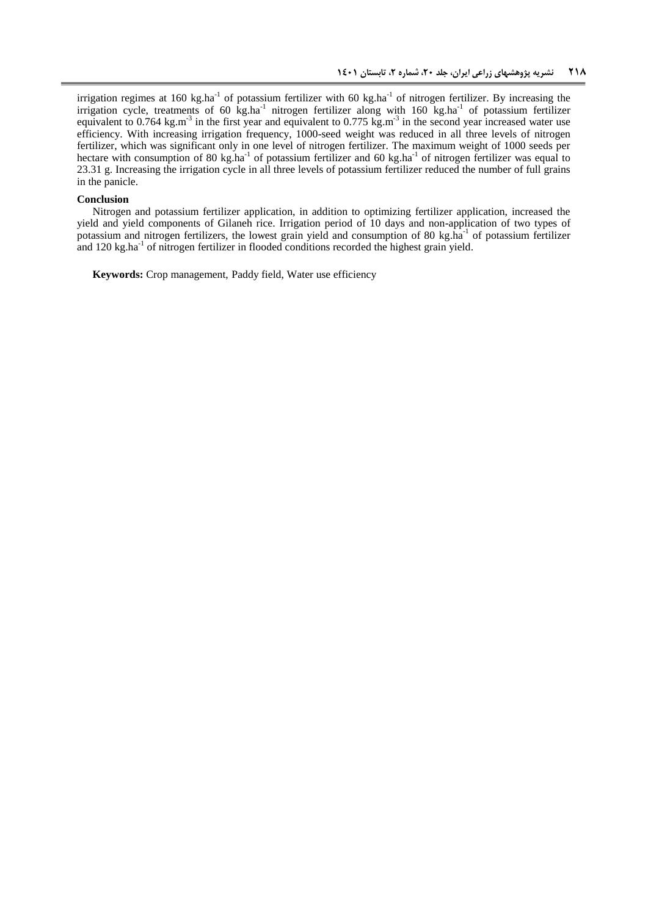irrigation regimes at 160 kg.ha<sup>-1</sup> of potassium fertilizer with 60 kg.ha<sup>-1</sup> of nitrogen fertilizer. By increasing the irrigation cycle, treatments of 60 kg.ha<sup>-1</sup> nitrogen fertilizer along with 160 kg.ha<sup>-1</sup> of potassium fertilizer equivalent to 0.764 kg.m<sup>-3</sup> in the first year and equivalent to 0.775 kg.m<sup>-3</sup> in the second year increased water use efficiency. With increasing irrigation frequency, 1000-seed weight was reduced in all three levels of nitrogen fertilizer, which was significant only in one level of nitrogen fertilizer. The maximum weight of 1000 seeds per hectare with consumption of 80 kg.ha<sup>-1</sup> of potassium fertilizer and 60 kg.ha<sup>-1</sup> of nitrogen fertilizer was equal to 23.31 g. Increasing the irrigation cycle in all three levels of potassium fertilizer reduced the number of full grains in the panicle.

#### **Conclusion**

Nitrogen and potassium fertilizer application, in addition to optimizing fertilizer application, increased the yield and yield components of Gilaneh rice. Irrigation period of 10 days and non-application of two types of potassium and nitrogen fertilizers, the lowest grain yield and consumption of 80 kg.ha<sup>-1</sup> of potassium fertilizer and 120 kg.ha<sup>-1</sup> of nitrogen fertilizer in flooded conditions recorded the highest grain yield.

**Keywords:** Crop management, Paddy field, Water use efficiency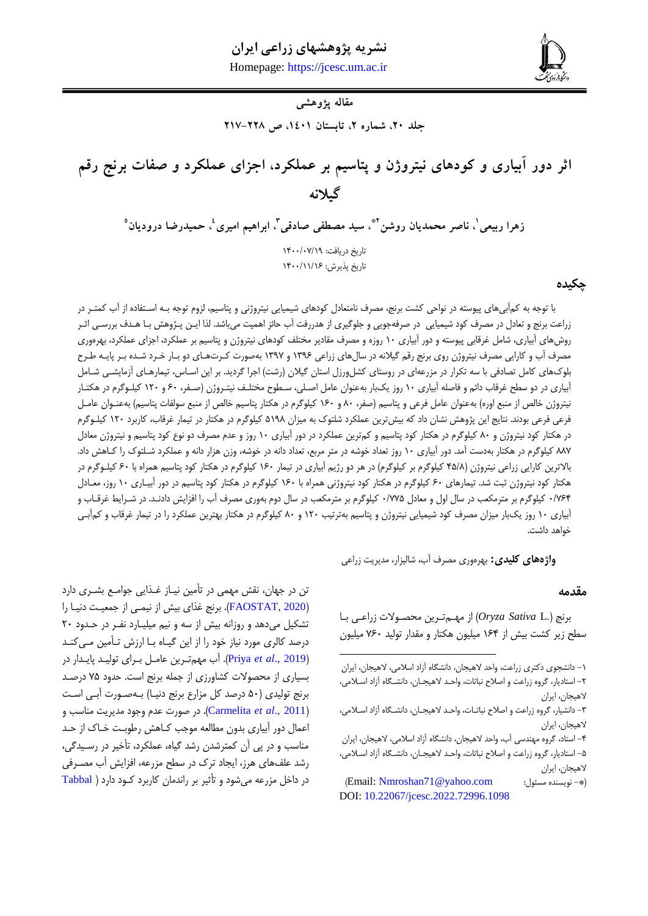**ربیعی و همکاران، اثر دور آبیاری و کودهای نیتروژن و پتاسیم بر عملکرد، اجزای عملکرد و صفات برنج رقم گیالنه 812** Homepage: [https://jcesc.um.ac.ir](https://jcesc.um.ac.ir/)



**مقاله پژوهشی**

**جلد ،02 شماره ،0 تابستان ،1021 ص 012-002**

**اثر دور آبیاری و کودهای نیتروژن و پتاسیم بر عملکرد، اجزای عملکرد و صفات برنج رقم گیالنه**

**، ناصر محمدیان روشن <sup>1</sup> زهرا ربیعی 0 ، ابراهیم امیری <sup>3</sup> ، سید مصطفی صادقی 0\* 5 ، حمیدرضا درودیان** تاریخ دریافت: 9077/70/91 تاریخ پذیرش: 9077/99/91

### **چکیده**

با توجه به کمآبیهای پیوسته در نواحی کشت برنج، مصرف نامتعادل کودهای شیمیایی نیتروژنی و پتاسیم، لزوم توجه بـه اسـتفاده از آب کمتـر در زراعت برنج و تعادل در مصرف کود شیمیایی در صرفهجویی و جلوگیری از هدررفت آب حائز اهمیت میباشد. لذا ایـن پـژوهش بـا هـدف بررسـی اثـر روش های آبیاری، شامل غرقابی پیوسته و دور آبیاری ۱۰ روزه و مصرف مقادیر مختلف کودهای نیتروژن و پتاسیم بر عملکرد، اجزای عملکرد، بهرهوری مصرف آب و کارایی مصرف نیتروژن روی برنج رقم گیلانه در سالهای زراعی ۱۳۹۶ و ۱۳۹۷ بهصورت کـرتـهـای دو بـار خـرد شـده بـر پایـه طـرح بلوکهای کامل تصادفی با سه تکرار در مزرعهای در روستای کشلورزل استان گیلان (رشت) اجرا گردید. بر این اسـاس، تیمارهـای آزمایشـی شـامل آبیاری در دو سطح غرقاب دائم و فاصله آبیاری ۱۰ روز یکبار بهعنوان عامل اصلی، سـطوح مختلـف نیتـروژن (صـفر، ۶۰ و ۱۲۰ کیلـوگرم در هکتـار نیتروژن خالص از منبع اوره) بهعنوان عامل فرعی و پتاسیم (صفر، ۸۰ و ۱۶۰ کیلوگرم در هکتار پتاسیم خالص از منبع سولفات پتاسیم) بهعنـوان عامـل فرعی فرعی بودند. نتایج این پژوهش نشان داد که بیش ترین عملکرد شلتوک به میزان ۵۱۹۸ کیلوگرم در هکتار در تیمار غرقاب، کاربرد ۱۲۰ کیلـوگرم در هکتار کود نیتروژن و ۸۰ کیلوگرم در هکتار کود پتاسیم و کمترین عملکرد در دور آبیاری ۱۰ روز و عدم مصرف دو نوع کود پتاسیم و نیتروژن معادل ٨٨٧ کیلوگرم در هکتار بهدست آمد. دور آبیاری ١٠ روز تعداد خوشه در متر مربع، تعداد دانه در خوشه، وزن هزار دانه و عملکرد شـلتوک را کـاهش داد. بالاترین کارایی زراعی نیتروژن (۴۵/۸ کیلوگرم بر کیلوگرم) در هر دو رژیم آبیاری در تیمار ۱۶۰ کیلوگرم در هکتار کود پتاسیم همراه با ۶۰ کیلـوگرم در هکتار کود نیتروژن ثبت شد. تیمارهای ۶۰ کیلوگرم در هکتار کود نیتروژنی همراه با ۱۶۰ کیلوگرم در هکتار کود پتاسیم در دور آبیـاری ۱۰ روز، معـادل 7/010 کیلوگرم بر مترمکعب در سال اول و معادل 7/008 کیلوگرم بر مترمکعب در سال دوم بهوری مصرف آک را افزای دادنهد. در شهرایغ غرقهاک و آبیاری ۱۰ روز یکبار میزان مصرف کود شیمیایی نیتروژن و پتاسیم بهترتیب ۱۲۰ و ۸۰ کیلوگرم در هکتار بهترین عملکرد را در تیمار غرقاب و کمآبی خواهد داشت.

1

**واژههای کلیدی:** بهرهوری مصرف آب، شالیزار، مدیریت زراعی

### **مقدمه**

برنج ).L *Sativa Oryza* )اآ مههم تهری مصصهوالت آراعهی بها سطح زیر کشت بیش از ۱۶۴ میلیون هکتار و مقدار تولید ۷۶۰ میلیون

تن در جهان، نقش مهمی در تأمین نیـاز غـذایی جوامـع بشـری دارد (FAOSTAT, 2020). برنج غذای بیش از نیمهی از جمعیت دنیـا را تشکیل می دهد و روزانه بیش از سه و نیم میلیبارد نف ردر حبدود ۲۰ درصد کالری مورد نیاز خود را از این گیـاه بـا ارزش تـأمین مـی کنـد )[2019 .,](#page-11-0)*al et* Priya). آک مهمتهری عامهل بهرای تولیهد پایهدار در بسیاری اآ مصصوالت کشاورآی اآ جمله برنج است. حدود 08 درصهد برنج تولیدی (۵۰ درصد کل مزارع برنج دنیـا) بـهصـورت آبـی اسـت )2011 .,*al et* [Carmelita](#page-10-1)). در صورت عدم وجود مدیریت مناسب و اعمال دور آبیاری بدون مطالعه موجب کـاهش رطوبـت خـاک از حـد مناسب و در پی آن کمترشدن رشد گیاا، عملکرد، تأخیر در رسهیدگی، رشد علفهای هرز، ایجاد ترک در سطح مزرعه، افزایش آب مصـرفی در داخل مزرعه میشود و تأریر بر راندمان کاربرد کهود دارد [\)](#page-11-1) [Tabbal](#page-11-1)

<sup>-9</sup> دانشجوی دکتری آراعت، واحد الهیجان، دانشگاا آآاد اسالمی، الهیجان، ایران -2 استادیار، گروا آراعت و اصال نباتات، واحهد الهیجهان، دانشهگاا آآاد اسهالمی، الهیجان، ایران

<sup>-9</sup> دانشیار، گروا آراعت و اصال نباتهات، واحهد الهیجهان، دانشهگاا آآاد اسهالمی، الهیجان، ایران

<sup>-0</sup> استاد، گروا مهندسی آک، واحد الهیجان، دانشگاا آآاد اسالمی، الهیجان، ایران 8– استادیار، گروه زراعت و اصلاح نباتات، واحـد لاهیجــان، دانشــگاه آزاد اسـلامی، الهیجان، ایران

<sup>)</sup>Email[: Nmroshan71@yahoo.com](mailto:Nmroshan71@yahoo.com) :مسئول نویسندا -)\* DOI: [10.22067/jcesc.2022.72996.1098](https://dx.doi.org/10.22067/jcesc.2022.72996.1098)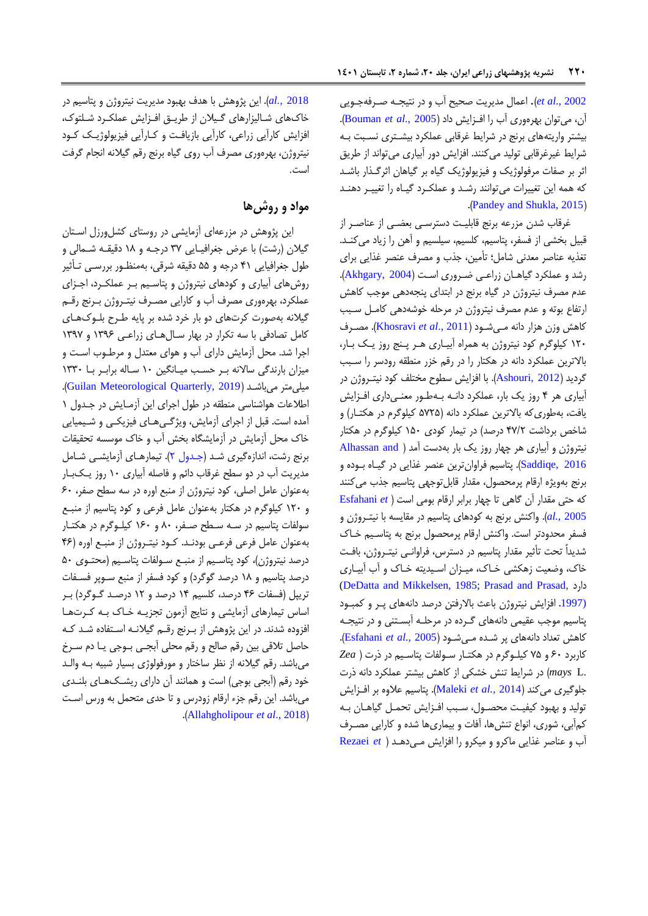[2002 .,](#page-11-1)*al et*). [اع](#page-11-1)مال مدیریت صصیح آک و در نتیجهه صهرفه جهویی آن، میتوان بهرهوری آب را افزایش داد (Bouman et al., 2005). بیشتر واریتههای برنج در شرایغ غرقابی عملکرد بیشهتری نسهبت بهه شرایط غیرغرقابی تولید میکنند. افزایش دور آبیاری میتواند از طریق اثر بر صفات مرفولوژیک و فیزیولوژیک گیاه بر گیاهان اثرگـذار باشـد که همه این تغییرات میتوانند رشد و عملکرد گیاه را تغییر دهنـد .([Pandey and Shukla, 2015](#page-11-2))

غرقاب شدن مزرعه برنج قابلیت دسترسبی بعضبی از عناصـر از قبیل بخشی از فسفر، پتاسیم، کلسیم، سیلسیم و آهن را زیاد میکند. تغذیه عناصر معدنی شامل؛ تأمین، جذب و مصرف عنصر غذایی برای رشد و عملکرد گیاهان زراعی ضروری است (Akhgary, 2004). عدم مصرف نیتروژن در گیاه برنج در ابتدای پنجهدهی موجب کاهش ارتداع بوته و عدم مصرف نیتروژن در مرحله خوشهدهی کامهل سهبب کاه وآن هزار دانه مهی شهود ) 2011 .,*al et* [Khosravi](#page-10-4)). مصهرف ۱۲۰ کیلوگرم کود نیتروژن به همراه آبیاری هـر پـنج روز یـک بـار، بالاترین عملکرد دانه در هکتار را در رقم خزر منطقه رودسر را سـبب گردید (Ashouri, 2012). با افزایش سطوح مختلف کود نیت روژن در آبیاری هر ۴ روز یک بار، عملکرد دانـه بـهطـور معنـیداری افـزایش یافت، بهطوری که بالاترین عملکرد دانه (۵۷۲۵ کیلوگرم در هکتـار) و شاخص برداشت 00/2 درصد( در تیمار کودی 987 کیلوگرم در هکتار نیتروژن و آبیاری هر چهار روز یک بار بهدست آمد ( Alhassan and [2016 ,Saddiqe](#page-10-6)). پتاسیم فراوانتری عنصر غذایی در گیهاا بهودا و برنج بهویژه ارقام پرمحصول، مقدار قابلتوجهی پتاسیم جذب میکنند که حتی مقدار آن گاهی تا چهار برابر ارقام بومی است [\)](#page-10-7) *et* [Esfahani](#page-10-7) [2005](#page-10-7) *.,al*). واکن برنج به کودهای پتاسیم در مقایسه با نیتهروژن و فسفر محدودتر است. واکنش ارقام پرمحصول برنج به پتاسیم خـاک شدیداً تحت تأثیر مقدار پتاسیم در دسترس، فراوانـی نیتـروژن، بافـت خاک، وضعیت زهکشی خاک، میـزان اسـیدیته خـاک و آب آبیـاری [\(DeDatta and Mikkelsen, 1985;](#page-10-8) [Prasad and Prasad,](#page-11-3) دارد ([1997](#page-11-3). افزایش نیتروژن باعث بالارفتن درصد دانههای پر و کمبود پتاسیم موجب عقیمی دانههای گـرده در مرحلـه آبسـتنی و در نتیجـه کاهش تعداد دانههای پر شده مهیشود (Esfahani et al., 2005). کاربرد 17 و 08 کیلهوگرم در هکتهار سهولدات پتاسهیم در رت ) *Zea* .*mays* L در شرایط تنش خشکی از کاهش بیشتر عملکرد دانه ذرت جلوگیری میکند )2014 *.,al et* [Maleki](#page-11-4)). پتاسیم عالوا بر افهزای تولید و بهبود کیفیت محصـول، سـبب افـزایش تحمـل گیاهـان بـه کمآبی، شوری، انواع تنشها، آفات و بیماریها شده و کارایی مصـرف آک و عناصر غذایی ماکرو و میکرو را افزای مهی دهه[د](#page-11-5) ) *et* [Rezaei](#page-11-5)

[2018](#page-11-5) *.,al*). ای پووه با هدف بهبود مدیریت نیتروژن و پتاسیم در خاکهای شالیزارهای گیلان از طریـق افـزایش عملکـرد شـلتوک، افزایش کارآیی زراعی، کارآیی بازیافت و کارآیی فیزیولوژیک کود نیتروژن، بهرەوری مصرف آب روی گیاه برنج رقم گیلانه انجام گرفت است.

## **مواد و روشها**

این پژوهش در مزرعهای آزمایشی در روستای کشلورزل استان گیلان (رشت) با عرض جغرافیـایی ۳۷ درجـه و ۱۸ دقیقـه شـمالی و طول جغرافیایی 09 درجه و 88 دقیقه شرقی، بهمنظهور بررسهی تهأریر روشهای آبیاری و کودهای نیتروژن و پتاسهیم بهر عملکهرد، اجهزای عملکرد، بهرهوری مصرف آب و کارایی مصـرف نیتـروژن بـرنج رقــم گیلانه بهصورت کرتهای دو بار خرد شده بر پایه طـرح بلـوکـهـای کامل تصادفی با سه تکرار در بهار سالهای زراعی ۱۳۹۶ و ۱۳۹۷ اجرا شد. محل آزمایش دارای آب و هوای معتدل و مرطـوب اسـت و میزان بارندگی سالانه بهر حسب میانگین ١٠ ساله برابر با ١٣٣٠ .)[Guilan Meteorological Quarterly, 2019](#page-10-9) ( میباشهد میلیمتر اطلاعات هواشناسی منطقه در طول اجرای این آزمـایش در جـدول ١ آمده است. قبل از اجرای آزمایش، ویژگههای فیزیکمی و شیمیایی خاک محل آزمایش در آزمایشگاه بخش آب و خاک موسسه تحقیقات برنج رشت، اندازهگیری شد (جـدول ۲). تیمارهـای أزمایشـی شـامل مدیریت آک در دو سطح غرقاک دائم و فاصله آبیاری 97 روآ یهک بهار بهعنوان عامل اصلی، کود نیتروژن اآ منبع اورا در سه سطح صدر، 17 و 927 کیلوگرم در هکتار بهعنوان عامل فرعی و کود پتاسیم اآ منبهع سولفات پتاسیم در سه سطح صفر، ۸۰ و ۱۶۰ کیلوگرم در هکتار بهعنوان عامل فرعی فرعی بودند. کود نیتروژن از منبع اوره (۴۶ درصد نیتروژن)، کود پتاسیم از منبع سـولفات پتاسـیم (محتـوی ۵۰ درصد پتاسیم و ۱۸ درصد گوگرد) و کود فسفر از منبع سـوپر فسـفات تریپل )فسدات 01 درصد، کلسیم 90 درصد و 92 درصهد گهوگرد( بهر اساس تیمارهای آزمایشی و نتایج آزمون تجزیـه خـاک بـه کـرتهـا افزوده شدند. در این پژوهش از بـرنج رقـم گیلانـه اسـتفاده شـد کـه حاصل تلاقی بین رقم صالح و رقم محلی آبجـی بـوجی یـا دم سـرخ میباشد. رقم گیلانه از نظر ساختار و مورفولوژی بسیار شبیه بـه والـد خود رقم (أبجی بوجی) است و همانند آن دارای ریشکهای بلندی میباشد. این رقم جزء ارقام زودرس و تا حدی متحمل به ورس است .)[Allahgholipour](#page-10-10) *et al*., 2018(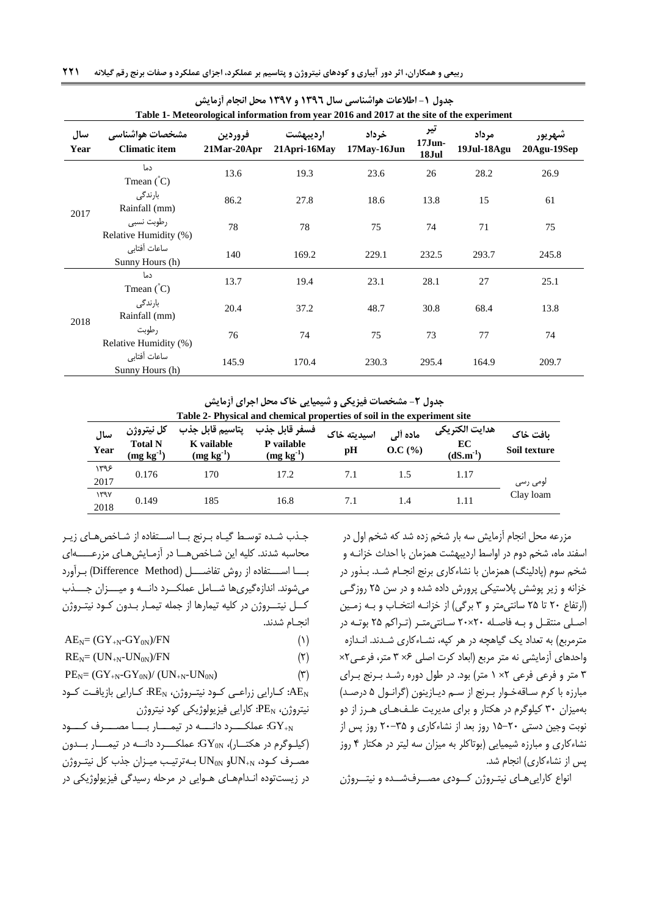|             | $\overline{\phantom{a}}$<br>Table 1- Meteorological information from year 2016 and 2017 at the site of the experiment |                           |                          |                      |                           |                      |                       |  |  |
|-------------|-----------------------------------------------------------------------------------------------------------------------|---------------------------|--------------------------|----------------------|---------------------------|----------------------|-----------------------|--|--|
| سال<br>Year | مشخصات هواشناسي<br><b>Climatic item</b>                                                                               | فروردين<br>$21$ Mar-20Apr | ارديبهشت<br>21Apri-16May | خرداد<br>17May-16Jun | تیر<br>$17$ Jun-<br>18Jul | مرداد<br>19Jul-18Agu | شهريور<br>20Agu-19Sep |  |  |
| 2017        | دما<br>Tmean $\binom{^{\circ}C}{ }$                                                                                   | 13.6                      | 19.3                     | 23.6                 | 26                        | 28.2                 | 26.9                  |  |  |
|             | بارندگی<br>Rainfall (mm)                                                                                              | 86.2                      | 27.8                     | 18.6                 | 13.8                      | 15                   | 61                    |  |  |
|             | رطوبت نسبى<br>Relative Humidity (%)                                                                                   | 78                        | 78                       | 75                   | 74                        | 71                   | 75                    |  |  |
|             | ساعات أفتابي<br>Sunny Hours (h)                                                                                       | 140                       | 169.2                    | 229.1                | 232.5                     | 293.7                | 245.8                 |  |  |
|             | دما<br>Tmean $\binom{^{\circ}C}{^{\circ}}$                                                                            | 13.7                      | 19.4                     | 23.1                 | 28.1                      | 27                   | 25.1                  |  |  |
| 2018        | بارندگی<br>Rainfall (mm)                                                                                              | 20.4                      | 37.2                     | 48.7                 | 30.8                      | 68.4                 | 13.8                  |  |  |
|             | رطوبت<br>Relative Humidity (%)                                                                                        | 76                        | 74                       | 75                   | 73                        | 77                   | 74                    |  |  |
|             | ساعات أفتابي<br>Sunny Hours (h)                                                                                       | 145.9                     | 170.4                    | 230.3                | 295.4                     | 164.9                | 209.7                 |  |  |

**جدول -0 اطالعات هواشناسی سال 0316 و 0319 محل انجام آزمایش**

**جدول -0 مشخصات فیزیکی و شیمیایی خاک محل اجرای آزمایش**

|              |                                                | Table 2- Physical and chemical properties of soil in the experiment site |                                               |                   |                    |                                       |                          |  |
|--------------|------------------------------------------------|--------------------------------------------------------------------------|-----------------------------------------------|-------------------|--------------------|---------------------------------------|--------------------------|--|
| سال<br>Year  | كل نيتروژن<br><b>Total N</b><br>$(mg kg^{-1})$ | يتاسيم قابل جذب<br>K vailable<br>$(mg kg-1)$                             | فسفر قابل جذب<br>P vailable<br>$(mg kg^{-1})$ | اسيديته خاک<br>pH | ماده ألى<br>O.C(%) | هدايت الكتريكي<br>EC<br>$(dS.m^{-1})$ | ىافت خاك<br>Soil texture |  |
| ۱۳۹۶<br>2017 | 0.176                                          | 170                                                                      | 17.2                                          | 7.1               | 1.5                | 1.17                                  | لومی رسی                 |  |
| 144V<br>2018 | 0.149                                          | 185                                                                      | 16.8                                          | 7.1               | 1.4                | 1.11                                  | Clay loam                |  |

<span id="page-4-0"></span>مزرعه محل انجام آزمایش سه بار شخم زده شد که شخم اول در اسفند ماه، شخم دوم در اواسط اردیبهشت همزمان با احداث خزانـه و شخم سوم (پادلینگ) همزمان با نشاءکاری برنج انجـام شـد. بـذور در خزانه و زیر پوشش پلاستیکی پرورش داده شده و در سن ۲۵ روزگی (ارتفاع ۲۰ تا ۲۵ سانتی متر و ۳ برگی) از خزانـه انتخـاب و بـه زمـین اصلی منتقل و به فاصله ۲۰×۲۰ سانتی متر (تراکم ۲۵ بوته در مترمربع) به تعداد یک گیاهچه در هر کپه، نشـاءکاری شـدند. انـدازه واحدهای آآمایشی نه متر مربع )ابعاد کرت اصلی 1× 9 متر، فرعهی 2× 9 متر و فرعی فرعی 2× 9 متر( بود. در طول دورا رشهد بهرنج بهرای مبارزه با کرم ساقه خوار برنج از سم دیازینون (گرانول ۵ درصد) بهمیزان 97 کیلوگرم در هکتار و برای مدیریت علهف ههای ههرآ اآ دو نوبت وجین دستی ۲۰-۱۵ روز بعد از نشاءکاری و ۳۵-۲۰ روز پس از نشاءکاری و مبارزه شیمیایی (بوتاکلر به میزان سه لیتر در هکتار ۴ روز پس از نشاءکاری) انجام شد.

انواع کاراییهای نیتـروژن کــودی مصــرفشــده و نیتــروژن

جـذب شـده توسـط گیـاه بـرنج بــا اســتفاده از شـاخص هـای زیـر محاسبه شدند. کلیه این شاخصها در آزمایش های مزرعـــــهای بـــا اســـتفاده از روش تفاضــــل (Difference Method) بـرآورد میشوند. اندازهگیریها شــامل عملکــرد دانــه و میـــزان جـــذب کـــل نیتــــروژن در کلیه تیمارها از جمله تیمــار بــدون کــود نیتــروژن انجام شدند.

 $AE_N = (GY_{+N} - GY_{0N})/FN$  (1)

 $RE_N = (UN_{+N}-UN_{0N})/FN$  (۲)

$$
PE_N = (GY_{+N^-} GY_{0N}) / (UN_{+N^-} UN_{0N}) \tag{\textbf{Y}}
$$

کارایی زراعـی کـود نیتـروژن، RE $_{\rm N}$ : کـارایی بازیافـت کـود: ${\rm AE}_{\rm N}$ نیتروژن، PEN: کارایی فیزیولوژیکی کود نیتروژن

N+GY: عملکههههرد دانههههه در تیمههههار بهههها مصههههرف کههههود (کیلـوگرم در هکتــار)، GY $\rm_{ON}$ : عملکــــرد دانـــه در تیمــــار بـــدون مصرف کود، UN<sub>0Nو U</sub>N<sub>0N</sub> بهترتیب میزان جذب کل نیتروژن در زیستتوده اندامهای هوایی در مرحله رسیدگی فیزیولوژیکی در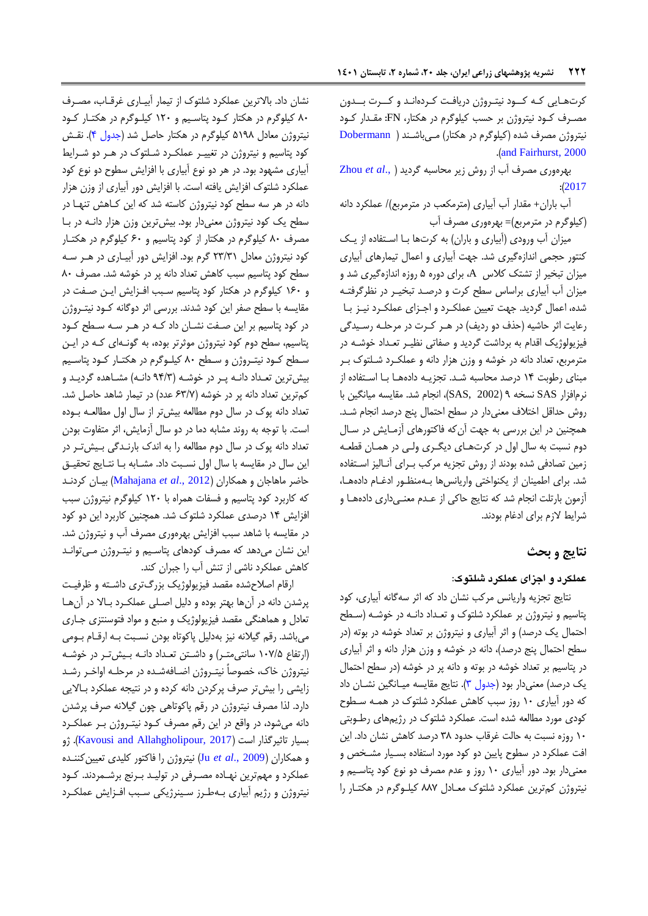کرتهایی که کـود نیتـروژن دریافت کـردهانـد و کــرت بــدون مصهرف کهود نیتروژن بر حسب کیلوگرم در هکتار، FN: مقهدار کهود نیتروژن مصرف شده (کیلوگرم در هکتار) مهی باشند ( [Dobermann](#page-10-11) .)[and Fairhurst, 2000](#page-10-11)

بهراوری مصرف آک اآ روش آیر مصاسبه گردید ).,*al et* [Zhou](#page-11-6)  $: (2017)$  $: (2017)$  $: (2017)$ 

آک باران+ مقدار آک آبیاری )مترمکعب در مترمربع(/ عملکرد دانه )کیلوگرم در مترمربع(= بهراوری مصرف آک

میزان آب ورودی (آبیاری و باران) به کرتها با استفاده از یک کنتور حجمی انداآاگیری شد. جهت آبیاری و اعمال تیمارهای آبیاری میزان تبخیر از تشتک کلاس A، برای دوره ۵ روزه اندازهگیری شد و میزان آب آبیاری براساس سطح کرت و درصد تبخیـر در نظرگرفتـه شده، اعمال گردید. جهت تعیین عملک رد و اجـزای عملکـرد نیـز بـا رعایت اثر حاشیه (حذف دو ردیف) در هـر کـرت در مرحلـه رسـیدگی فیزیولوژیک اقدام به برداشت گردید و صداتی نظیهر تعهداد خوشهه در مترمربع، تعداد دانه در خوشه و وزن هزار دانه و عملکـرد شـلتوک بـر مبنای رطوبت ۱۴ درصد محاسبه شد. تجزیـه دادههـا بـا اسـتفاده از نرمافزار SAS نسخه ۹ (SAS, 2002)، انجام شد. مقایسه میانگین با روش حداقل اختالف معنیدار در سطح احتمال پنج درصد انجام شهد. همچنین در این بررسی به جهت آن که فاکتورهای آزمـایش در سـال دوم نسبت به سال اول در کرتههای دیگهری ولهی در همهان قطعهه زمین تصادفی شده بودند از روش تجزیه مرکب بـرای آنـالیز اسـتفاده شد. برای اطمینان از یکنواختی واریانسها بهمنظور ادغـام دادههـا، آزمون بارتلت انجام شد که نتایج حاکی از عـدم معنـیداری دادههـا و شرایغ الآم برای ادغام بودند.

## **نتایج و بحث**

### **عملکرد و اجزای عملکرد شلتوک:**

نتایج تجزیه واریانس مرکب نشان داد که ارر سهگانه آبیاری، کود پتاسیم و نیتروژن بر عملکرد شلتوک و تعهداد دانهه در خوشهه )سهطح احتمال یک درصد) و اثر آبیاری و نیتروژن بر تعداد خوشه در بوته (در سطح احتمال پنج درصد)، دانه در خوشه و وزن هزار دانه و اثر آبیاری در پتاسیم بر تعداد خوشه در بوته و دانه پر در خوشه )در سطح احتمال یک درصد) معنی دار بود (جدول ۳). نتایج مقایسه میـانگین نشـان داد که دور آبیاری ۱۰ روز سبب کاهش عملکرد شلتوک در همـه سـطوح کودی مورد مطالعه شدا است. عملکرد شلتوک در رژیمهای رطهوبتی ۱۰ روزه نسبت به حالت غرقاب حدود ۳۸ درصد کاهش نشان داد. این افت عملکرد در سطوح پایین دو کود مورد استفاده بسـیار مشـخص و معنیدار بود. دور آبیاری 97 روآ و عدم مصرف دو نوع کود پتاسهیم و نیتروژن کم ترین عملکرد شلتوک معــادل ۸۸۷ کیلــوگرم در هکتــار را

نشان داد. بالاترین عملکرد شلتوک از تیمار آبیـاری غرقـاب، مصـرف 07 کیلوگرم در هکتار کهود پتاسهیم و 927 کیلهوگرم در هکتهار کهود نیتروژن معادل ۵۱۹۸ کیلوگرم در هکتار حاصل شد (جدول ۴). نقـش کود پتاسیم و نیتروژن در تغییـر عملکـرد شـلتوک در هـر دو شـرایط آبیاری مشهود بود. در هر دو نوع آبیاری با افزایش سطوح دو نوع کود عملکرد شلتوک افزایش یافته است. با افزایش دور آبیاری از وزن هزار دانه در هر سه سطح کود نیتروژن کاسته شد که این کـاهش تنهـا در سطح یک کود نیتروژن معنی دار بود. بیش ترین وزن هزار دانـه در بـا مصرف ۸۰ کیلوگرم در هکتار از کود پتاسیم و ۶۰ کیلوگرم در هکتـار کود نیتروژن معادل ۲۳/۳۱ گرم بود. افزایش دور آبیاری در هـر سـه سطح کود پتاسیم سبب کاهش تعداد دانه پر در خوشه شد. مصرف ٨٠ و ١۶٠ کیلوگرم در هکتار کود پتاسیم سبب افزایش این صفت در مقایسه با سطح صفر این کود شدند. بررسی اثر دوگانه کـود نیتـروژن در کود پتاسیم بر این صفت نشـان داد کـه در هـر سـه سـطح کـود پتاسیم، سطح دوم کود نیتروژن موثرتر بوده، به گونـهای کـه در ایـن سطح کـود نیتـروژن و سـطح ۸۰ کیلـوگرم در هکتـار کـود پتاسـیم بیش ترین تعداد دانـه پـر در خوشـه (۹۴/۳ دانـه) مشـاهده گردیـد و کم ترین تعداد دانه پر در خوشه (۶۳/۷ عدد) در تیمار شاهد حاصل شد. تعداد دانه پوک در سال دوم مطالعه بیش تر از سال اول مطالعـه بـوده است. با توجه به روند مشابه دما در دو سال آزمایش، اثر متفاوت بودن تعداد دانه پوک در سال دوم مطالعه را به اندک بارنـدگی بـیشتر در این سال در مقایسه با سال اول نسبت داد. مشـابه بـا نتـایج تحقیـق حاور ماهاجان و همکاران )2012 .,*al et* [Mahajana](#page-11-7) )بیهان کردنهد که کاربرد کود پتاسیم و فسدات همراا با 927 کیلوگرم نیتروژن سبب افزایش ۱۴ درصدی عملکرد شلتوک شد. همچنین کاربرد این دو کود در مقایسه با شاهد سبب افزایش بهرهوری مصرف آب و نیتروژن شد. این نشان میدهد که مصرف کودهای پتاسیم و نیت روژن می توانـد کاهش عملکرد ناشی از تنش آب را جبران کند.

ارقام اصلاحشده مقصد فیزیولوژیک بزرگتری داشته و ظرفیت پرشدن دانه در آنها بهتر بوده و دلیل اصلی عملک رد بـالا در آنهـا تعادل و هماهنگی مقصد فیزیولوژیک و منبع و مواد فتوسنتزی جهاری میباشد. رقم گیلانه نیز بهدلیل پاکوتاه بودن نسبت بـه ارقـام بـومی (ارتفاع ۱۰۷/۵ سانتی متـر) و داشـتن تعـداد دانـه بـیش تـر در خوشـه نیتروژن خاک، خصوصاً نیتـروژن اضـافهشـده در مرحلـه اواخـر رشـد زایشی را بیش تر صرف پرکردن دانه کرده و در نتیجه عملکرد بالایی دارد. لذا مصرف نیتروژن در رقم پاکوتاهی چون گیالنه صرف پرشدن دانه می شود، در واقع در این رقم مصرف کـود نیتـروژن بـر عملکـرد بسیار تاثیرگذار است (Kavousi and Allahgholipour, 2017). ژو و همکاران )[2009 .,](#page-10-13)*al et* Ju )نیتروژن را فاکتور کلیدی تعیی کننهدا عملکرد و مهمترین نهـاده مصـرفی در تولیـد بـرنج برشـمردند. کـود نیتروژن و رژیم آبیاری بـهطـرز سـینرژیکی سـبب افـزایش عملکـرد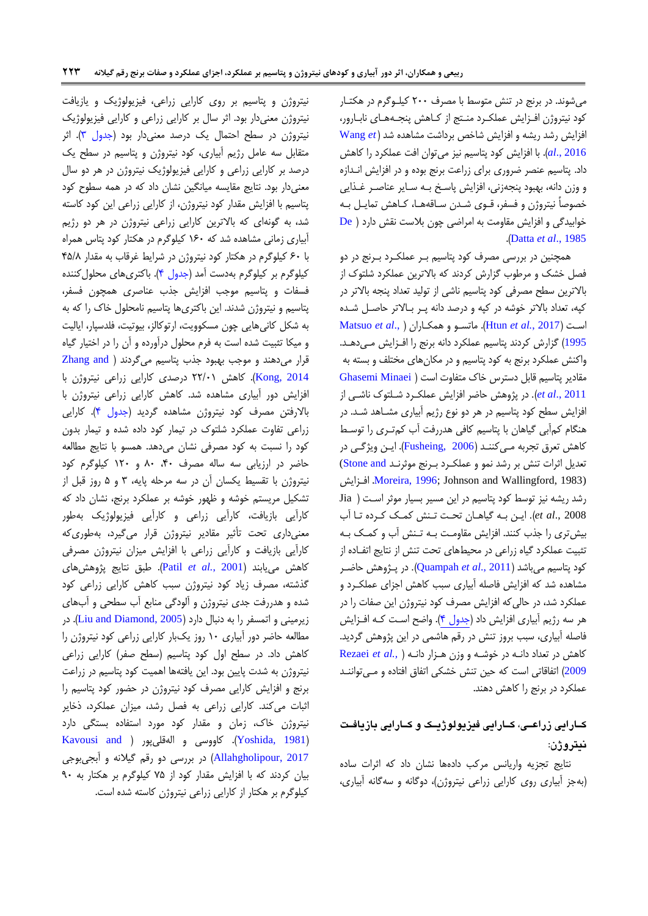میشوند. در برنج در تنش متوسط با مصرف ۲۰۰ کیلوگرم در هکتار کود نیتروژن افـزایش عملکـرد منـتج از کـاهش پنجـههـای نابـارور، افزایش رشد ریشه و افزایش شاخص برداشت مشاهده شد (Wang et al., 2016). با افزایش کود پتاسیم نیز میتوان افت عملکرد را کاهش داد. پتاسیم عنصر ضروری برای زراعت برنج بوده و در افزایش انـدازه و وزن دانه، بهبود پنجهزنی، افزایش پاسخ بـه سـایر عناصـر غـذایی خصوصاً نیتروژن و فسفر، قــوی شــدن ســاقههــا، کــاهش تمایــل بــه  $\bf{D}$ e [\)](#page-10-8) خوابیدگی و افزایش مقاومت به امراضی چون بلاست نقش دارد .)Datta *et al*[., 1985](#page-10-8)

همچنین در بررسی مصرف کود پتاسیم بـر عملکـرد بـرنج در دو فصل خشک و مرطوب گزارش کردند که بالاترین عملکرد شلتوک از بالاترین سطح مصرفی کود پتاسیم ناشی از تولید تعداد پنجه بالاتر در کپه، تعداد بالاتر خوشه در کپه و درصد دانه پـر بـالاتر حاصـل شـده [Matsuo](#page-11-9) *et al*., [\(](#page-11-9) همکهارا[ن](#page-11-9) و ماتسهو .(Htun *et al.*[, 2017](#page-10-14) ( اسهت [1995](#page-11-9)) گزارش کردند پتاسیم عملکرد دانه برنج را افـزایش مـی دهـد. واکنش عملکرد برنج به کود پتاسیم و در مکانهای مختلف و بسته به مقادیر پتاسیم قابل دسترس خاک متفاوت است ( Ghasemi Minaei et al., 2011). در پژوهش حاضر افزایش عملکـرد شـلتوک ناشـی از افزایش سطح کود پتاسیم در هر دو نوع رژیم آبیاری مشــاهد شــد. در هنگام کمأبی گیاهان با پتاسیم کافی هدررفت أب کمتری را توسط کاهش تعرق تجربه می کننـد (Fusheing, 2006). ایـن ویژگـی در تعدیل اثرات تنش بر رشد نمو و عملکرد بـرنج موثرنـد Stone and) افزایش .[Moreira, 1996](#page-11-10); Johnson and Wallingford, 1983) رشد ریشه نیز توسط کود پتاسیم در این مسیر بسیار موثر است ( Jia 2008 .,*al et*). ایه بهه گیاههان تصهت تهن کمهک کهردا تها آک بیش تری را جذب کنند. افزایش مقاومت بـه تـنش آب و کمـک بـه تثبیت عملکرد گیاه زراعی در محیطهای تحت تنش از نتایج اتفـاده از کود پتاسیم میباشد (Quampah et al., 2011). در پـژوهش حاضـر مشاهده شد که افزایش فاصله آبیاری سبب کاهش اجزای عملکرد و عملکرد شد، در حالی که افزایش مصرف کود نیتروژن این صفات را در هر سه رژیم آبیاری افزایش داد (جدول ۴). واضح است کـه افــزایش فاصله آبیاری، سبب بروز تنش در رقم هاشمی در این پژوهش گردید. کاهش در تعداد دانـه در خوشـه و وزن هـزار دانـه ( [Rezaei](#page-11-5) et al., [2009](#page-11-5)) اتفاقاتی است که حین تنش خشکی اتفاق افتاده و می توانند عملکرد در برنج را کاهش دهند.

# کــارایی زراعــی، کــارایی فیزیولوژیــک و کــارایی بازیافـت **نژتروکن:**

نتایج تجزیه واریانس مرکب دادهها نشان داد که اثرات ساده )بهجز آبیاری روی کارایی آراعی نیتروژن(، دوگانه و سهگانه آبیاری،

نیتروژن و پتاسیم بر روی کارایی زراعی، فیزیولوژیک و یازیافت نیتروژن معنیدار بود. اثر سال بر کارایی زراعی و کارایی فیزیولوژیک نیتروژن در سطح احتمال یک درصد معنیدار بود (جدول ۳). اثر متقابل سه عامل رژیم آبیاری، کود نیتروژن و پتاسیم در سطح یک درصد بر کارایی آراعی و کارایی فیزیولوژیک نیتروژن در هر دو سال معنی دار بود. نتایج مقایسه میانگین نشان داد که در همه سطوح کود پتاسیم با افزایش مقدار کود نیتروژن، از کارایی زراعی این کود کاسته شد، به گونهای که بالاترین کارایی زراعی نیتروژن در هر دو رژیم آبیاری زمانی مشاهده شد که ۱۶۰ کیلوگرم در هکتار کود پتاس همراه با 17 کیلوگرم در هکتار کود نیتروژن در شرایغ غرقاک به مقدار 08/0 کیلوگرم بر کیلوگرم بهدست آمد (جدول ۴). باکتریهای محلولکننده فسفات و پتاسیم موجب افزایش جذب عناصری همچون فسفر، پتاسیم و نیتروژن شدند. ای باکتریها پتاسیم نامصلول خاک را که به به شکل کانیهایی چون مسکوویت، ارتوکالز، بیوتیت، فلدسپار، ایالیت و میکا تثبیت شده است به فرم محلول درآورده و آن را در اختیار گیاه قرار میدهند و موجب بهبود جذب پتاسیم میگردند ( Zhang and [2014 ,Kong](#page-11-12)). کاهش ۲۲/۰۱ درصدی کارایی زراعی نیتروژن با افزایش دور آبیاری مشاهده شد. کاهش کارایی زراعی نیتروژن با بالارفتن مصرف کود نیتروژن مشاهده گردید (جدول ۴). کارایی آراعی تداوت عملکرد شلتوک در تیمار کود دادا شدا و تیمار بدون کود را نسبت به کود مصرفی نشان میدهد. همسو با نتایج مطالعه حاضر در ارزیابی سه ساله مصرف ۴۰، ۸۰ و ۱۲۰ کیلوگرم کود نیتروژن با تقسیغ یکسان آن در سه مرحله پایه، 9 و 8 روآ قبل اآ تشکیل مریستم خوشه و ظهور خوشه بر عملکرد برنج، نشان داد که کارآیی بازیافت، کارآیی زراعی و کارآیی فیزیولوژیک بهطور معنیداری تصت تأریر مقادیر نیتروژن قرار میگیرد، بهطوریکه کارأیی بازیافت و کارأیی زراعی با افزایش میزان نیتروژن مصرفی کاه مییابند )[2001](#page-11-13) *.*,*al et* Patil). طبق نتایج پووه های گذشته، مصرف زیاد کود نیتروژن سبب کاهش کارایی زراعی کود شدا و هدررفت جدی نیتروژن و آلودگی منابع آک سطصی و آکهای آیرمینی و اتمسدر را به دنبال دارد )[2005 ,Diamond and Liu](#page-10-17)). در مطالعه حاضر دور آبیاری ۱۰ روز یکبار کارایی زراعی کود نیتروژن را کاهش داد. در سطح اول کود پتاسیم (سطح صفر) کارایی زراعی نیتروژن به شدت پایین بود. این یافتهها اهمیت کود پتاسیم در زراعت برنج و افزایش کارایی مصرف کود نیتروژن در حضور کود پتاسیم را اثبات میکند. کارایی زراعی به فصل رشد، میزان عملکرد، ذخایر نیتروژن خاک، زمان و مقدار کود مورد استفاده بستگی دارد Kavousi and [\)](#page-10-12) کاووسی و الهقلیپور ( Kavousi and ) (Yoshida,  $1981$ [2017 ,Allahgholipour](#page-10-12) )در بررسی دو رقم گیالنه و آبجیبوجی بیان کردند که با افزایش مقدار کود از ۷۵ کیلوگرم بر هکتار به ۹۰ کیلوگرم بر هکتار از کارایی زراعی نیتروژن کاسته شده است.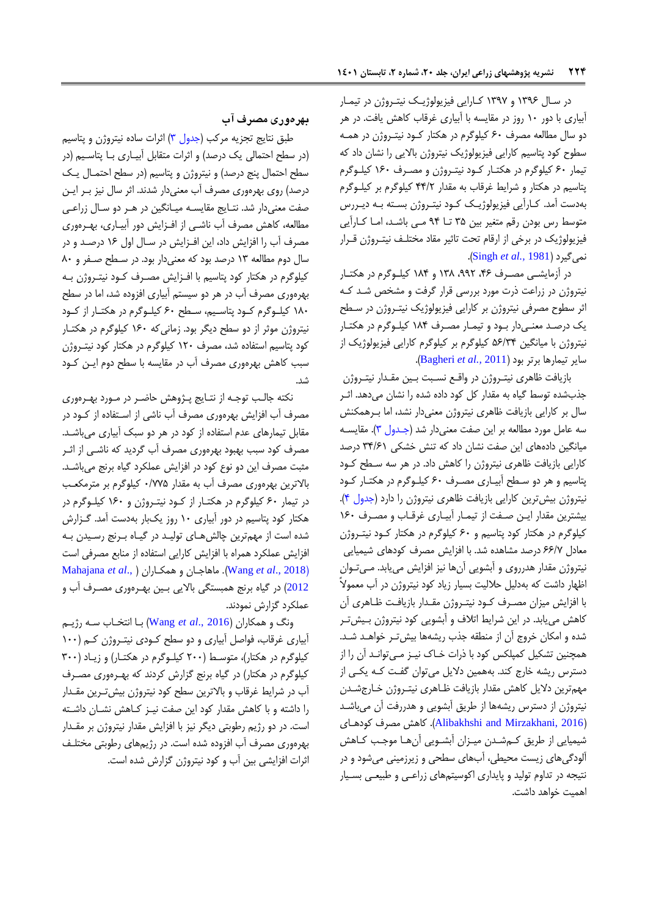در سال ۱۳۹۶ و ۱۳۹۷ کارایی فیزیولوژیک نیت روژن در تیمار آبیاری با دور ۱۰ روز در مقایسه با آبیاری غرقاب کاهش یافت. در هر دو سال مطالعه مصرف ۶۰ کیلوگرم در هکتار کـود نیتـروژن در همـه سطوح کود پتاسیم کارایی فیزیولوژیک نیتروژن بالایی را نشان داد که تیمار ۶۰ کیلوگرم در هکتـار کـود نیتـروژن و مصـرف ۱۶۰ کیلـوگرم پتاسیم در هکتار و شرایغ غرقاک به مقدار 00/2 کیلوگرم بر کیلهوگرم بهدست آمد. کـارآیی فیزیولوژیـک کـود نیتـروژن بسـته بـه دیـررس متوسط رس بودن رقم متغیر بین ۳۵ تـا ۹۴ مـی باشـد، امـا کـارآیی فیزیولوژیک در برخی از ارقام تحت تاثیر مقاد مختلـف نیتـروژن قـرار .)[Singh](#page-11-15) *et al.,* 1981( نمیگیرد

در آزمایشی مصـرف ۴۶، ۹۹۲ و ۱۸۴ کیلـوگرم در هکتـار نیتروژن در زراعت ذرت مورد بررسی قرار گرفت و مشخص شد کـه اثر سطوح مصرفی نیتروژن بر کارایی فیزیولوژیک نیت روژن در سـطح یک درصهد معنهی دار بهود و تیمهار مصهرف 900 کیلهوگرم در هکتهار نیتروژن با میانگی 81/90 کیلوگرم بر کیلوگرم کارایی فیزیولوژیک اآ سایر تیمارها برتر بود )2011 *.,al et* [Bagheri](#page-10-18)).

بازیافت ظاهری نیتـروژن در واقـع نسـبت بـین مقـدار نیتـروژن جذبشده توسط گیاه به مقدار کل کود داده شده را نشان میدهد. اثـر سال بر کارایی بازیافت ظاهری نیتروژن معنیدار نشد، اما بـرهمکنش سه عامل مورد مطالعه بر این صفت معنیدار شد (جـدول ۳). مقایسـه میانگین دادههای این صفت نشان داد که تنش خشکی ۳۴/۶۱ درصد کارایی بازیافت ظاهری نیتروژن را کاهش داد. در هر سه سطح کود پتاسیم و هر دو سطح آبیاری مصرف ۶۰ کیلوگرم در هکتار کود نیتروژن بیش ترین کارایی بازیافت ظاهری نیتروژن را دارد (جدول ۴). بیشترین مقدار ایـن صـفت از تیمـار آبیـاری غرقـاب و مصـرف ١۶٠ کیلوگرم در هکتار کود پتاسیم و ۶۰ کیلوگرم در هکتار کـود نیتـروژن معادل ۶۶/۷ درصد مشاهده شد. با افزایش مصرف کودهای شیمیایی نیتروژن مقدار هدرروی و آبشویی آنها نیز افزایش مییابد. میتوان اظهار داشت که بهدلیل حلالیت بسیار زیاد کود نیتروژن در آب معمولاً با افزایش میزان مصرف کود نیتروژن مقدار بازیافت ظاهری آن کاهش می یابد. در این شرایط اتلاف و آبشویی کود نیتروژن بـیش تـر شده و امکان خروج آن از منطقه جذب ریشهها بیش تـر خواهـد شـد. همچنین تشکیل کمپلکس کود با ذرات خـاک نیـز مـیتوانـد آن را از دسترس ریشه خارج کند. بههمین دلایل میتوان گفت کـه یکـی از مهم ترین دلایل کاهش مقدار بازیافت ظـاهری نیتـروژن خـارج شـدن نیتروژن از دسترس ریشهها از طریق آبشویی و هدررفت آن میباشد )[2016 ,Mirzakhani and Alibakhshi](#page-10-19)). کاه مصرف کودههای شیمیایی از طریق کمشدن میزان آبشویی آن ها موجب کاهش آلودگیهای زیست محیطی، آبهای سطحی و زیرزمینی میشود و در نتیجه در تداوم تولید و پایداری اکوسیتمهای زراعبی و طبیعی بسیار اهمیت خواهد داشت.

## **هرهویی مصرف آب**

طبق نتایج تجزیه مرکب [\)جدول 9\(](#page-8-0) اررات سادا نیتروژن و پتاسیم (در سطح احتمالی یک درصد) و اثرات متقابل آبیـاری بـا پتاسـیم (در سطح احتمال پنج درصد) و نیتروژن و پتاسیم (در سطح احتمـال یـک درصد) روی بهرهوری مصرف آب معنیدار شدند. اثر سال نیز بـر ایـن صفت معنیدار شد. نتـایج مقایسـه میـانگین در هـر دو سـال زراعـی مطالعه، کاهش مصرف آب ناشـی از افـزایش دور آبیـاری، بهـرهوری مصرف آب را افزایش داد، این افـزایش در سـال اول ۱۶ درصـد و در سال دوم مطالعه 99 درصد بود که معنیدار بود. در سهطح صهدر و 07 کیلوگرم در هکتار کود پتاسیم با افـزایش مصـرف کــود نیتـروژن بــه بهرهوری مصرف آب در هر دو سیستم آبیاری افزوده شد، اما در سطح ۱۸۰ کیلوگرم کود پتاسیم، سطح ۶۰ کیلوگرم در هکتار از کود نیتروژن موثر از دو سطح دیگر بود. زمانی که ۱۶۰ کیلوگرم در هکتـار کود پتاسیم استفاده شد، مصرف ۱۲۰ کیلوگرم در هکتار کود نیت روژن سبب کاهش بهرهوری مصرف آب در مقایسه با سطح دوم ایـن کـود شد.

نکته جالب توجه از نتـایج پـژوهش حاضـر در مـورد بهـرهوری مصرف آب افزایش بهرهوری مصرف آب ناشی از استفاده از کـود در مقابل تیمارهای عدم استفاده از کود در هر دو سبک آبیاری میباشد. مصرف کود سبب بهبود بهرهوری مصرف آب گردید که ناشـی از اثـر مثبت مصرف این دو نوع کود در افزایش عملکرد گیاه برنج میباشـد. بالاترین بهرهوری مصرف آب به مقدار ۷۷۵/۰ کیلوگرم بر مترمکعب در تیمار ۶۰ کیلوگرم در هکتـار از کـود نیتـروژن و ۱۶۰ کیلـوگرم در هکتار کود پتاسیم در دور آبیاری 97 روآ یکبار بهدست آمد. گهزارش شده است از مهمترین چالش های تولید در گیاه بـرنج رسـیدن بـه افزایش عملکرد همراه با افزایش کارایی استفاده از منابع مصرفی است [Mahajana](#page-11-7) *et al*., [\(](#page-11-7) همکهارا[ن](#page-11-7) و ماهاجهان .(Wang *et al*[., 2018](#page-11-8)( [2012](#page-11-7)) در گیاه برنج همبستگی بالایی بـین بهـرهوری مصـرف آب و عملکرد گزارش نمودند.

ونگ و همکاران )[2016 .,](#page-11-8)*al et* Wang )بها انتخهاک سهه رژیهم آبیاری غرقاب، فواصل آبیاری و دو سطح کودی نیت روژن کم (١٠٠ کیلوگرم در هکتار)، متوسط (۲۰۰ کیلوگرم در هکتار) و زیاد (۳۰۰ کیلوگرم در هکتار) در گیاه برنج گزارش کردند که بهـرهوری مصـرف آب در شرایط غرقاب و بالاترین سطح کود نیتروژن بیش تـرین مقـدار را داشته و با کاهش مقدار کود این صفت نیـز کـاهش نشـان داشـته است. در دو رژیم رطوبتی دیگر نیز با افزایش مقدار نیتروژن بر مقدار بهرهوری مصرف آب افزوده شده است. در رژیمهای رطوبتی مختلـف اثرات افزایشی بین آب و کود نیتروژن گزارش شده است.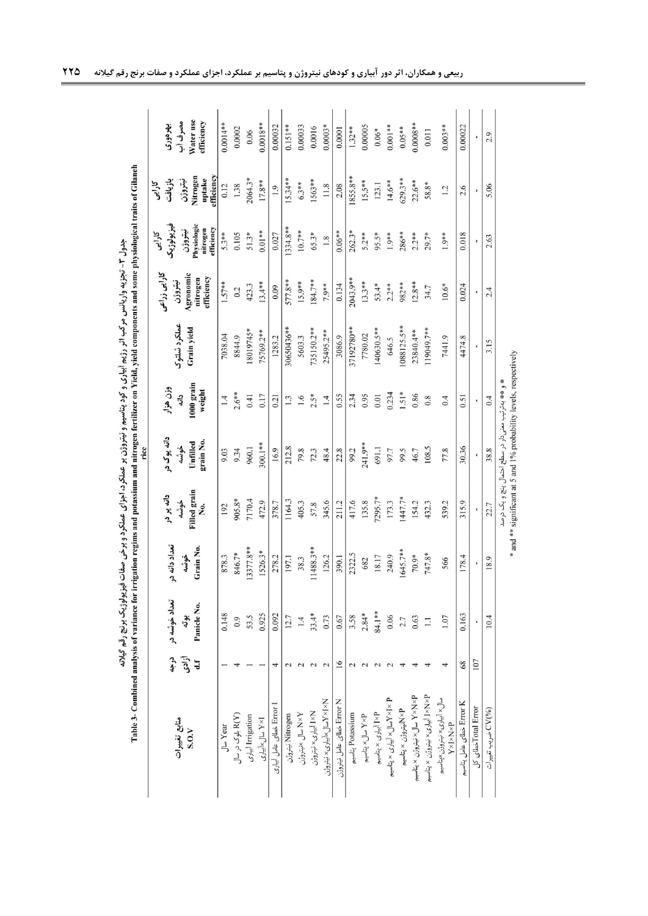<span id="page-8-0"></span>

|                                                           |                                                | Table 3- Combined analysis of variance for irrigation regims and potassium and nitrogen fertilizer on Yield, yield components and some physiological traits of Gilanch |                                    |                                                                   | rice                                                |                                          |                             |                                                                |                                                                          |                                                                 |                                                |
|-----------------------------------------------------------|------------------------------------------------|------------------------------------------------------------------------------------------------------------------------------------------------------------------------|------------------------------------|-------------------------------------------------------------------|-----------------------------------------------------|------------------------------------------|-----------------------------|----------------------------------------------------------------|--------------------------------------------------------------------------|-----------------------------------------------------------------|------------------------------------------------|
| منابع تغييرات<br>S.O.V                                    | درجه<br>أزادى<br>$\mathbf{d} \cdot \mathbf{f}$ | تعداد خوشه در<br>Panicle No.<br>بوته                                                                                                                                   | تعداد دانه در<br>Grain No.<br>خوشه | <b>Filled</b> grain<br>دانه پر در<br>خوشه<br>Χo.                  | دانه پوک در<br>grain No.<br>Unfilled<br>خوشه        | 1000 grain<br>وزن هزار<br>weight<br>داته | عملكرد شلتوك<br>Grain yield | کارایی ذراعی<br>Agronomic<br>efficiency<br>nitrogen<br>نيتروژن | فيزيولوژيک<br>Physiologic<br>efficiency<br>nitrogen<br>نيتروژن<br>کارایی | Nitrogen<br>fficiency<br>uptake<br>نيتروژن<br>بازيافت<br>كارايى | Water use<br>مصرف أب<br>efficiency<br>بهر دوری |
| Ju Year                                                   |                                                | 0.148                                                                                                                                                                  | 878.3                              | 192                                                               | 9.03                                                | 1.4                                      | 7038.04                     | 1.57**                                                         | $5.3***$                                                                 | 0.12                                                            | $0.0014***$                                    |
| (R(Y) بلوک در سال                                         |                                                | 0.9                                                                                                                                                                    | 846.7*                             | 905.8*                                                            | 9.34                                                | $2.6***$                                 | 8844.9                      | 0.2                                                            | 0.105                                                                    | 1.38                                                            | 0.0002                                         |
| Irrigation آییاری                                         |                                                | 53.5                                                                                                                                                                   | 3377.8**                           | 7170.4                                                            | 960.1                                               | 0.41                                     | *5716108                    | 423.3                                                          | $51.3*$                                                                  | 2064.3*                                                         | 0.06                                           |
| I×Y سال×أبياري                                            |                                                | 0.925                                                                                                                                                                  | 1526.3*                            | 472.9                                                             | 300.1**                                             | 0.17                                     | 75769.2**                   | $13.4***$                                                      | $0.01**$                                                                 | $17.8**$                                                        | $0.0018**$                                     |
| ا Error خطای عامل آبیاری                                  | 4                                              | 0.092                                                                                                                                                                  | 278.2                              | 378.7                                                             | 16.9                                                | 0.21                                     | 1283.2                      | 0.09                                                           | 0.027                                                                    | 1.9                                                             | 0.00032                                        |
| Nitrogen نِیتروژن                                         | $\sim$                                         | 12.7                                                                                                                                                                   | 197.1                              | 1164.3                                                            | 212.8                                               | 1.3                                      | 30650436**                  | 577.8**                                                        | $1334.8**$                                                               | $15.34***$                                                      | $0.151**$                                      |
| ¥×N سال ×نيتروژن                                          |                                                | 1.4                                                                                                                                                                    | 38.3                               | 405.3                                                             | 79.8                                                | 1.6                                      | 5603.3                      | 15.9**                                                         | 10.7**                                                                   | $6.3**$                                                         | 0.00033                                        |
| N×I أبياري× نيتروژن                                       | $\overline{c}$                                 | $33.4*$                                                                                                                                                                | 1488.3**                           | 57.8                                                              | 72.3                                                | $2.5*$                                   | 735150.2**                  | 184.7**                                                        | 65.3*                                                                    | 1563**                                                          | 0.0016                                         |
| N×I×Yسال×آبیاری×نیتروژن                                   | 2                                              | 0.73                                                                                                                                                                   | 126.2                              | 345.6                                                             | 48.4                                                | 1.4                                      | 25495.2**                   | 7.9**                                                          | 1.8                                                                      | 11.8                                                            | $0.0003*$                                      |
| Error N نطای عامل نیتروژن                                 | ۱6                                             | 0.67                                                                                                                                                                   | 390.1                              | 211.2                                                             | 22.8                                                | 0.55                                     | 3086.9                      | 0.134                                                          | $0.06**$                                                                 | 2.08                                                            | 0.0001                                         |
| Potassium پتاسیم                                          |                                                | 3.58                                                                                                                                                                   | 2322.5                             | 417.6                                                             | 99.2                                                | 2.34                                     | 37192780**                  | 2043.9**                                                       | $262.3*$                                                                 | 1855.8**                                                        | $1.32***$                                      |
| P×¥ سال× پتاسيم                                           |                                                | $2.84*$                                                                                                                                                                | 682                                | 135.8                                                             | 241.9**                                             | 0.95                                     | 7780.02                     | $13.3***$                                                      | $5.2***$                                                                 | $15.5***$                                                       | 0.00005                                        |
| P¥I أبيارى × پتاسيم                                       |                                                | 84.1**                                                                                                                                                                 | 18.17                              | $7295.7*$                                                         | 691.1                                               | 0.01                                     | 140630.5**                  | $53.4*$                                                        | 95.5*                                                                    | 123.1                                                           | $0.06*$                                        |
| P × ا× لاسال× أبيارى × پتاسيم                             |                                                | 0.06                                                                                                                                                                   | 240.9                              | 173.3                                                             | 97.7                                                | 0.234                                    | 646.5                       | $2.2***$                                                       | $1.9***$                                                                 | $14.6***$                                                       | $0.001**$                                      |
| R×Vأنيتروژن × پتاسيم                                      |                                                | 2.7                                                                                                                                                                    | $1645.7***$                        | $1447.7*$                                                         | 99.5                                                | $1.51*$                                  | 088125.5**                  | 982**                                                          | 286**                                                                    | $629.3**$                                                       | $0.05**$                                       |
| N×N×P سال×نيتروژن × پتاسيم                                |                                                | 0.63                                                                                                                                                                   | 70.9*                              | 154.2                                                             | 46.7                                                | 0.86                                     | 23840.4**                   | $12.8**$                                                       | $2.2**$                                                                  | $22.6**$                                                        | $0.0008**$                                     |
| P×N×I أبيارى× نيتروژن × پتاسيم                            |                                                | $\Xi$                                                                                                                                                                  | 747.8*                             | 432.3                                                             | 108.5                                               | 0.8                                      | 19049.7**                   | 34.7                                                           | 29.7*                                                                    | 58.8*                                                           | 0.011                                          |
| سال× آبیاری×نیتروژن×پتاسیم<br>$Y\times I\times N\times P$ |                                                | 1.07                                                                                                                                                                   | 566                                | 539.2                                                             | 77.8                                                | 0.4                                      | 7441.9                      | $10.6*$                                                        | 1.9**                                                                    | 1.2                                                             | $0.003**$                                      |
| Error K نطای عامل پتاسیم                                  | 68                                             | 0.163                                                                                                                                                                  | 178.4                              | 315.9                                                             | 30.36                                               | 0.51                                     | 4474.8                      | 0.024                                                          | 0.018                                                                    | 2.6                                                             | 0.00022                                        |
| Total Error نطای کل                                       | 107                                            |                                                                                                                                                                        |                                    |                                                                   |                                                     |                                          |                             |                                                                |                                                                          |                                                                 |                                                |
| (V(%) ضريب تغييرات                                        |                                                | 10.4                                                                                                                                                                   | 18.9                               | 22.7                                                              | 38.8                                                | 0.4                                      | 3.15                        | 2.4                                                            | 2.63                                                                     | 5.06                                                            | 2.9                                            |
|                                                           |                                                |                                                                                                                                                                        |                                    | * and ** significant at 5 and 1% probability levels, respectively | * و ** بهترتیب معنی دار در سطح احتمال پنج و یک درصد |                                          |                             |                                                                |                                                                          |                                                                 |                                                |
|                                                           |                                                |                                                                                                                                                                        |                                    |                                                                   |                                                     |                                          |                             |                                                                |                                                                          |                                                                 |                                                |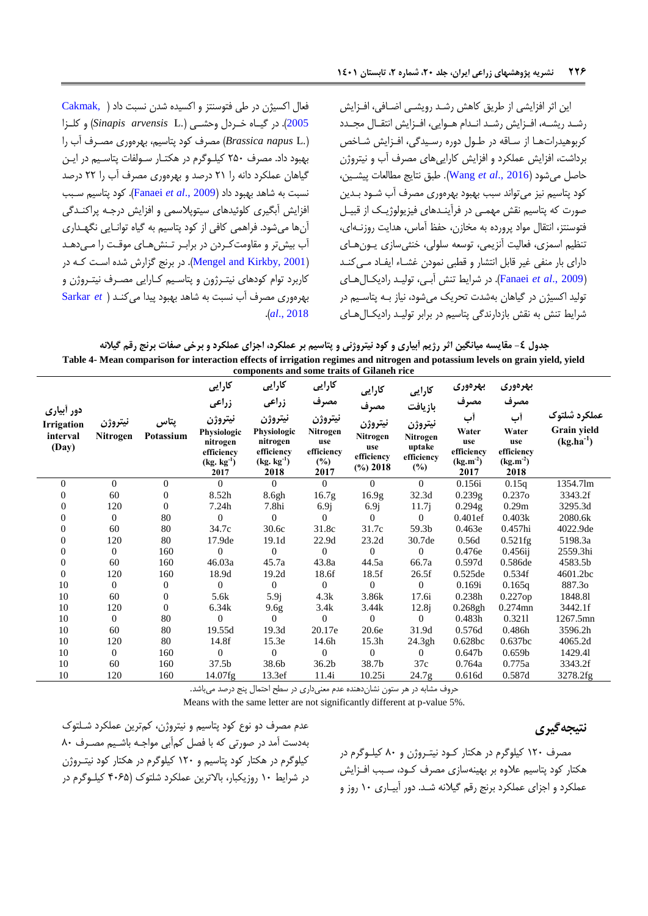این اثر افزایشی از طریق کاهش رشد رویشهی اضافی، افزایش رشد ریشـه، افـزایش رشـد انـدام هـوایی، افـزایش انتقـال مجـدد کربوهیدراتها از ساقه در طـول دوره رسـیدگی، افـزایش شـاخص برداشت، افزایش عملکرد و افزایش کاراییهای مصرف آب و نیتروژن حاصل میشود )[2016 .,](#page-11-8)*al et* Wang). طبق نتایج مطالعات پیشهی ، کود پتاسیم نیز می تواند سبب بهبود بهرهوری مصرف آب شـود بـدین صورت که پتاسیم نقش مهمـی در فرآینـدهای فیزیولوژیـک از قبیـل فتوسنتز، انتقال مواد پرورده به مخازن، حفظ آماس، هدایت روزنـهای، تنظیم اسمزی، فعالیت آنزیمی، توسعه سلولی، خنثی سازی یهون های دارای بار منفی غیر قابل انتشار و قطبی نمودن غشـاء ایفـاد مـ ،کنـد )2009 .,*al et* [Fanaei](#page-10-20)). در شرایغ تن آبهی، تولیهد رادیکهال ههای تولید اکسیژن در گیاهان بهشدت تحریک میشود، نیاز بـه پتاسـیم در شرایط تنش به نقش بازدارندگی پتاسیم در برابر تولیـد رادیکـال هـای فعال اکسیون در طی فتوسنتز و اکسیدا شدن نسبت داد [\)](#page-10-21) [,Cakmak](#page-10-21) [2005](#page-10-21)(. در گیههاا خههردل وحشههی ).L *arvensis Sinapis* )و کلههزا ).L *napus Brassica* )مصرف کود پتاسیم، بهراوری مصهرف آک را بهبود داد. مصرف ۲۵۰ کیلوگرم در هکتار سولفات پتاسیم در این

گیاهان عملکرد دانه را 29 درصد و بهراوری مصرف آک را 22 درصد نسبت به شاهد بهبود داد )2009 .,*al et* [Fanaei](#page-10-20)). کود پتاسیم سهبب افزایش آبگیری کلوئیدهای سیتوپلاسمی و افزایش درجه پراکندگی آنها میشود. فراهمی کافی از کود پتاسیم به گیاه توانـایی نگهـداری آب بیش تر و مقاومت کردن در براب ر تنش هـای موقـت را مـی دهـد در برنج گزارش شده است که در Mengel and Kirkby, 2001). کاربرد توام کودهای نیتـرژون و پتاسـیم کـارایی مصـرف نیتـروژن و بهراوری مصرف آک نسبت به شاهد بهبود پیدا میکنهد [\)](#page-11-17) *et* [Sarkar](#page-11-17) .)*al*[., 2018](#page-11-17)

**جدول -4 مقایسه میانگین اثر رژیم آبیاری و کود نیتروژنی و پتاسیم بر عملکرد، اجزای عملکرد و برخی صفات برنج رقم گیالنه Table 4- Mean comparison for interaction effects of irrigation regimes and nitrogen and potassium levels on grain yield, yield** 

|                |                |           |                         | components and some traits of Gilaneh rice |                   |                           |                   |                       |                       |                |
|----------------|----------------|-----------|-------------------------|--------------------------------------------|-------------------|---------------------------|-------------------|-----------------------|-----------------------|----------------|
|                |                |           | كارايى                  | كارايي                                     | كارايي            | كارايى                    | كارايي            | بهرهوري               | بهرهورى               |                |
| دور أبياري     |                |           | زراعى                   | زراعى                                      | مصرف              | مصرف                      | بازيافت           | مصرف                  | مصرف                  |                |
| Irrigation     | نيتروژن        | پتاس      | نيتروژن                 | نيتروژن                                    | نيتروژن           | نيتروژن                   | نيتروژن           | أب                    | أب                    | عملكرد شلتوك   |
| interval       | Nitrogen       | Potassium | Physiologic             | Physiologic                                | Nitrogen          | Nitrogen                  | Nitrogen          | Water                 | Water                 | Grain yield    |
| (Day)          |                |           | nitrogen<br>efficiency  | nitrogen<br>efficiency                     | use<br>efficiency | use                       | uptake            | use<br>efficiency     | use<br>efficiency     | $(kg.ha^{-1})$ |
|                |                |           | $(kg. kg^{-1})$<br>2017 | $(kg. kg-1)$<br>2018                       | $(\%)$<br>2017    | efficiency<br>$(\%)$ 2018 | efficiency<br>(%) | $(kg.m^{-2})$<br>2017 | $(kg.m^{-2})$<br>2018 |                |
| $\Omega$       | $\Omega$       | $\Omega$  | $\Omega$                | $\Omega$                                   | $\Omega$          | $\Omega$                  | $\theta$          | 0.156i                | 0.15q                 | 1354.7lm       |
| $\Omega$       | 60             | $\Omega$  | 8.52h                   | 8.6gh                                      | 16.7 <sub>g</sub> | 16.9 <sub>g</sub>         | 32.3d             | 0.239g                | 0.2370                | 3343.2f        |
| $\Omega$       | 120            | $\Omega$  | 7.24h                   | 7.8hi                                      | 6.9j              | 6.9j                      | 11.7 <sub>i</sub> | 0.294g                | 0.29m                 | 3295.3d        |
| 0              | $\mathbf{0}$   | 80        | $\overline{0}$          | $\overline{0}$                             | $\mathbf{0}$      | $\Omega$                  | $\overline{0}$    | 0.401ef               | 0.403k                | 2080.6k        |
| 0              | 60             | 80        | 34.7c                   | 30.6c                                      | 31.8c             | 31.7c                     | 59.3b             | 0.463e                | 0.457hi               | 4022.9de       |
| $\overline{0}$ | 120            | 80        | 17.9de                  | 19.1d                                      | 22.9d             | 23.2d                     | 30.7de            | 0.56d                 | $0.521$ fg            | 5198.3a        |
| 0              | $\mathbf{0}$   | 160       | $\overline{0}$          | $\overline{0}$                             | $\mathbf{0}$      | $\Omega$                  | $\mathbf{0}$      | 0.476e                | $0.456$ ij            | 2559.3hi       |
| $\theta$       | 60             | 160       | 46.03a                  | 45.7a                                      | 43.8a             | 44.5a                     | 66.7a             | 0.597d                | 0.586de               | 4583.5b        |
| $\Omega$       | 120            | 160       | 18.9d                   | 19.2d                                      | 18.6f             | 18.5f                     | 26.5f             | 0.525de               | 0.534f                | 4601.2bc       |
| 10             | $\mathbf{0}$   | $\theta$  | $\overline{0}$          | $\overline{0}$                             | $\mathbf{0}$      | $\theta$                  | $\overline{0}$    | 0.169i                | 0.165q                | 887.30         |
| 10             | 60             | $\Omega$  | 5.6k                    | 5.9j                                       | 4.3k              | 3.86k                     | 17.6i             | 0.238h                | 0.227op               | 1848.81        |
| 10             | 120            | $\Omega$  | 6.34k                   | 9.6g                                       | 3.4k              | 3.44k                     | 12.8j             | 0.268gh               | 0.274mn               | 3442.1f        |
| 10             | $\mathbf{0}$   | 80        | $\overline{0}$          | $\Omega$                                   | $\theta$          | $\theta$                  | $\overline{0}$    | 0.483h                | 0.3211                | 1267.5mn       |
| 10             | 60             | 80        | 19.55d                  | 19.3d                                      | 20.17e            | 20.6e                     | 31.9d             | 0.576d                | 0.486h                | 3596.2h        |
| 10             | 120            | 80        | 14.8f                   | 15.3e                                      | 14.6h             | 15.3h                     | 24.3gh            | 0.628bc               | 0.637bc               | 4065.2d        |
| 10             | $\overline{0}$ | 160       | $\theta$                | $\overline{0}$                             | $\mathbf{0}$      | $\theta$                  | $\overline{0}$    | 0.647 <sub>b</sub>    | 0.659 <sub>b</sub>    | 1429.41        |
| 10             | 60             | 160       | 37.5b                   | 38.6b                                      | 36.2 <sub>b</sub> | 38.7b                     | 37c               | 0.764a                | 0.775a                | 3343.2f        |
| 10             | 120            | 160       | 14.07fg                 | 13.3ef                                     | 11.4i             | 10.25i                    | 24.7 <sub>g</sub> | 0.616d                | 0.587d                | 3278.2fg       |

حروف مشابه در هر ستون نشاندهندا عدم معنیداری در سطح احتمال پنج درصد میباشد.

Means with the same letter are not significantly different at p-value 5%.

عدم مصرف دو نوع کود پتاسیم و نیتروژن، کمتری عملکرد شهلتوک بهدست آمد در صورتی که با فصل کمآبی مواجهه باشهیم مصهرف 07 کیلوگرم در هکتار کود پتاسیم و ۱۲۰ کیلوگرم در هکتار کود نیتــروژن در شرایط ۱۰ روزیکبار، بالاترین عملکرد شلتوک (۴۰۶۵ کیلوگرم در

### <span id="page-9-0"></span>**نتیجهگیری**

مصرف 927 کیلوگرم در هکتار کهود نیتهروژن و 07 کیلهوگرم در هکتار کود پتاسیم علاوه بر بهینهسازی مصرف کـود، سـبب افـزایش عملکرد و اجزای عملکرد برنج رقم گیلانه شـد. دور آبیـاری ۱۰ روز و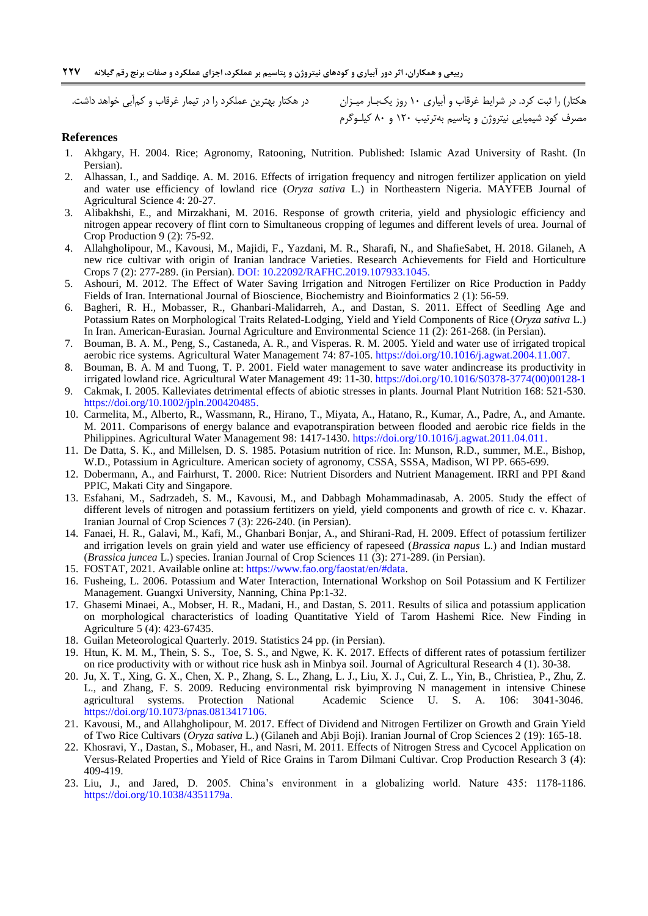هکتار) را ثبت کرد. در شرایط غرقاب و ابیاری ۱۰ روز یکبـار میـزان در هکتار بهترین عملکرد را در تیمار غرقاب و کم|بی خواهد داشت. مصرف کود شیمیایی نیتروژن و پتاسیم بهترتیب 927 و 07 کیلهوگرم

### **References**

- <span id="page-10-3"></span>1. Akhgary, H. 2004. Rice; Agronomy, Ratooning, Nutrition. Published: Islamic Azad University of Rasht. (In Persian).
- <span id="page-10-6"></span>2. Alhassan, I., and Saddiqe. A. M. 2016. Effects of irrigation frequency and nitrogen fertilizer application on yield and water use efficiency of lowland rice (*Oryza sativa* L.) in Northeastern Nigeria. MAYFEB Journal of Agricultural Science 4: 20-27.
- <span id="page-10-19"></span>3. Alibakhshi, E., and Mirzakhani, M. 2016. Response of growth criteria, yield and physiologic efficiency and nitrogen appear recovery of flint corn to Simultaneous cropping of legumes and different levels of urea. Journal of Crop Production 9 (2): 75-92.
- <span id="page-10-10"></span>4. Allahgholipour, M., Kavousi, M., Majidi, F., Yazdani, M. R., Sharafi, N., and ShafieSabet, H. 2018. Gilaneh, A new rice cultivar with origin of Iranian landrace Varieties. Research Achievements for Field and Horticulture Crops 7 (2): 277-289. (in Persian). DOI: [10.22092/RAFHC.2019.107933.1045.](https://dx.doi.org/10.22092/rafhc.2019.107933.1045)
- <span id="page-10-5"></span>5. Ashouri, M. 2012. The Effect of Water Saving Irrigation and Nitrogen Fertilizer on Rice Production in Paddy Fields of Iran. International Journal of Bioscience, Biochemistry and Bioinformatics 2 (1): 56-59.
- <span id="page-10-18"></span>6. Bagheri, R. H., Mobasser, R., Ghanbari-Malidarreh, A., and Dastan, S. 2011. Effect of Seedling Age and Potassium Rates on Morphological Traits Related-Lodging, Yield and Yield Components of Rice (*Oryza sativa* L.) In Iran. American-Eurasian. Journal Agriculture and Environmental Science 11 (2): 261-268. (in Persian).
- 7. Bouman, B. A. M., Peng, S., Castaneda, A. R., and Visperas. R. M. 2005. Yield and water use of irrigated tropical aerobic rice systems. Agricultural Water Management 74: 87-105. [https://doi.org/10.1016/j.agwat.2004.11.007.](https://doi.org/10.1016/j.agwat.2004.11.007)
- <span id="page-10-2"></span>8. Bouman, B. A. M and Tuong, T. P. 2001. Field water management to save water andincrease its productivity in irrigated lowland rice. Agricultural Water Management 49: 11-30. [https://doi.org/10.1016/S0378-3774\(00\)00128-1](https://doi.org/10.1016/S0378-3774(00)00128-1)
- <span id="page-10-21"></span>9. Cakmak, I. 2005. Kalleviates detrimental effects of abiotic stresses in plants. Journal Plant Nutrition 168: 521-530. [https://doi.org/10.1002/jpln.200420485.](https://doi.org/10.1002/jpln.200420485)
- <span id="page-10-1"></span>10. Carmelita, M., Alberto, R., Wassmann, R., Hirano, T., Miyata, A., Hatano, R., Kumar, A., Padre, A., and Amante. M. 2011. Comparisons of energy balance and evapotranspiration between flooded and aerobic rice fields in the Philippines. Agricultural Water Management 98: 1417-1430. [https://doi.org/10.1016/j.agwat.2011.04.011.](https://doi.org/10.1016/j.agwat.2011.04.011)
- <span id="page-10-8"></span>11. De Datta, S. K., and Millelsen, D. S. 1985. Potasium nutrition of rice. In: Munson, R.D., summer, M.E., Bishop, W.D., Potassium in Agriculture. American society of agronomy, CSSA, SSSA, Madison, WI PP. 665-699.
- <span id="page-10-11"></span>12. Dobermann, A., and Fairhurst, T. 2000. Rice: Nutrient Disorders and Nutrient Management. IRRI and PPI &and PPIC, Makati City and Singapore.
- <span id="page-10-7"></span>13. Esfahani, M., Sadrzadeh, S. M., Kavousi, M., and Dabbagh Mohammadinasab, A. 2005. Study the effect of different levels of nitrogen and potassium fertitizers on yield, yield components and growth of rice c. v. Khazar. Iranian Journal of Crop Sciences 7 (3): 226-240. (in Persian).
- <span id="page-10-20"></span>14. Fanaei, H. R., Galavi, M., Kafi, M., Ghanbari Bonjar, A., and Shirani-Rad, H. 2009. Effect of potassium fertilizer and irrigation levels on grain yield and water use efficiency of rapeseed (*Brassica napus* L.) and Indian mustard (*Brassica juncea* L.) species. Iranian Journal of Crop Sciences 11 (3): 271-289. (in Persian).
- <span id="page-10-0"></span>15. FOSTAT, 2021. Available online at: [https://www.fao.org/faostat/en/#data.](https://www.fao.org/faostat/en/%23data)
- <span id="page-10-16"></span>16. Fusheing, L. 2006. Potassium and Water Interaction, International Workshop on Soil Potassium and K Fertilizer Management. Guangxi University, Nanning, China Pp:1-32.
- <span id="page-10-15"></span>17. Ghasemi Minaei, A., Mobser, H. R., Madani, H., and Dastan, S. 2011. Results of silica and potassium application on morphological characteristics of loading Quantitative Yield of Tarom Hashemi Rice. New Finding in Agriculture 5 (4): 423-67435.
- <span id="page-10-9"></span>18. Guilan Meteorological Quarterly. 2019. Statistics 24 pp. (in Persian).
- <span id="page-10-14"></span>19. [Htun,](https://www.cabdirect.org/cabdirect/search/?q=au%3a%22Kyi+Minn+Htun%22) K. M. [M.](https://www.cabdirect.org/cabdirect/search/?q=au%3a%22Swe+Swe+Mar%22), [Thein,](https://www.cabdirect.org/cabdirect/search/?q=au%3a%22Soe+Soe+Thein%22) S. S., [Toe,](https://www.cabdirect.org/cabdirect/search/?q=au%3a%22Kyi+Toe%22) S. S., and [Ngwe,](https://www.cabdirect.org/cabdirect/search/?q=au%3a%22Kyaw+Ngwe%22) K. K. 2017. Effects of different rates of potassium fertilizer on rice productivity with or without rice husk ash in Minbya soil. [Journal of Agricultural Research](https://www.cabdirect.org/cabdirect/search/?q=do%3a%22Journal+of+Agricultural+Research%22) 4 (1). 30-38.
- <span id="page-10-13"></span>20. Ju, X. T., Xing, G. X., Chen, X. P., Zhang, S. L., Zhang, L. J., Liu, X. J., Cui, Z. L., Yin, B., Christiea, P., Zhu, Z. L., and Zhang, F. S. 2009. Reducing environmental risk byimproving N management in intensive Chinese agricultural systems. Protection National Academic Science U. S. A. 106: 3041-3046[.](https://doi.org/10.1073/pnas.0813417106) [https://doi.org/10.1073/pnas.0813417106.](https://doi.org/10.1073/pnas.0813417106)
- <span id="page-10-12"></span>21. Kavousi, M., and Allahgholipour, M. 2017. Effect of Dividend and Nitrogen Fertilizer on Growth and Grain Yield of Two Rice Cultivars (*Oryza sativa* L.) (Gilaneh and Abji Boji). Iranian Journal of Crop Sciences 2 (19): 165-18.
- <span id="page-10-4"></span>22. Khosravi, Y., Dastan, S., Mobaser, H., and Nasri, M. 2011. Effects of Nitrogen Stress and Cycocel Application on Versus-Related Properties and Yield of Rice Grains in Tarom Dilmani Cultivar. Crop Production Research 3 (4): 409-419.
- <span id="page-10-17"></span>23. [Liu,](https://www.researchgate.net/profile/Jianguo_Liu2) J., and Jared, [D.](https://www.researchgate.net/scientific-contributions/2123216031_Jared_Diamond) 2005. China's environment in a globalizing world. Nature 435: 1178-1186. https://doi.org/10.1038/4351179a.